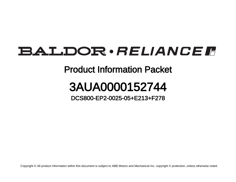## **BALDOR** · RELIANCE F

## Product Information Packet

## 3AUA0000152744

DCS800-EP2-0025-05+E213+F278

Copyright © All product information within this document is subject to ABB Motors and Mechanical Inc. copyright © protection, unless otherwise noted.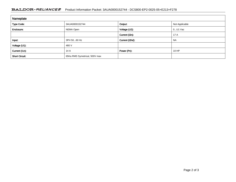## BALDOR · RELIANCE F Product Information Packet: 3AUA0000152744 - DCS800-EP2-0025-05+E213+F278

| Nameplate             |                               |                 |                |
|-----------------------|-------------------------------|-----------------|----------------|
| <b>Type Code:</b>     | 3AUA0000152744                | Output:         | Not Applicable |
| Enclosure:            | NEMA Open                     | Voltage (U2):   | $0U1$ Vac      |
|                       |                               | Current (I2n):  | 17 A           |
| Input:                | 3PH 5060 Hz                   | Current (I2hd): | <b>NA</b>      |
| Voltage (U1):         | 480 V                         |                 |                |
| Current (I1n):        | 14 A                          | Power (Pn):     | 10 HP          |
| <b>Short Circuit:</b> | 65Ka RMS Symetrical, 500V max |                 |                |